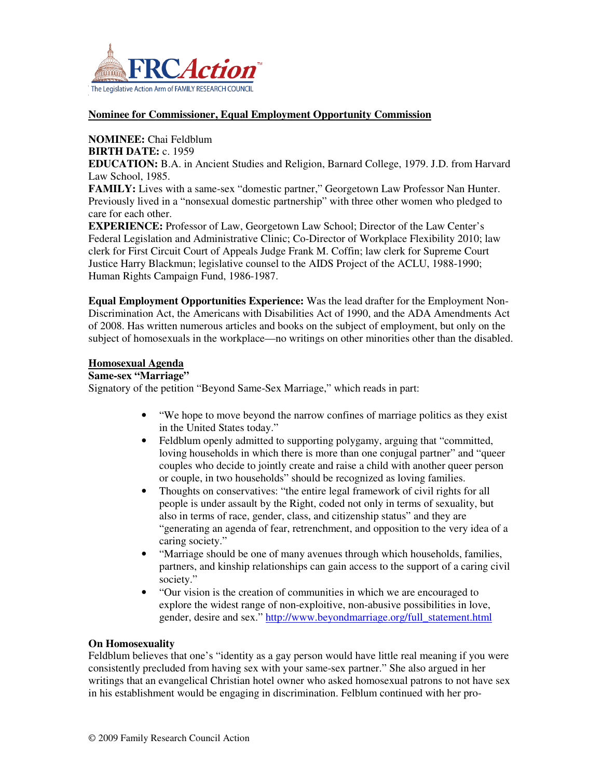

#### **Nominee for Commissioner, Equal Employment Opportunity Commission**

# **NOMINEE:** Chai Feldblum

# **BIRTH DATE:** c. 1959

**EDUCATION:** B.A. in Ancient Studies and Religion, Barnard College, 1979. J.D. from Harvard Law School, 1985.

**FAMILY:** Lives with a same-sex "domestic partner," Georgetown Law Professor Nan Hunter. Previously lived in a "nonsexual domestic partnership" with three other women who pledged to care for each other.

**EXPERIENCE:** Professor of Law, Georgetown Law School; Director of the Law Center's Federal Legislation and Administrative Clinic; Co-Director of Workplace Flexibility 2010; law clerk for First Circuit Court of Appeals Judge Frank M. Coffin; law clerk for Supreme Court Justice Harry Blackmun; legislative counsel to the AIDS Project of the ACLU, 1988-1990; Human Rights Campaign Fund, 1986-1987.

**Equal Employment Opportunities Experience:** Was the lead drafter for the Employment Non-Discrimination Act, the Americans with Disabilities Act of 1990, and the ADA Amendments Act of 2008. Has written numerous articles and books on the subject of employment, but only on the subject of homosexuals in the workplace—no writings on other minorities other than the disabled.

#### **Homosexual Agenda**

#### **Same-sex "Marriage"**

Signatory of the petition "Beyond Same-Sex Marriage," which reads in part:

- "We hope to move beyond the narrow confines of marriage politics as they exist in the United States today."
- Feldblum openly admitted to supporting polygamy, arguing that "committed, loving households in which there is more than one conjugal partner" and "queer couples who decide to jointly create and raise a child with another queer person or couple, in two households" should be recognized as loving families.
- Thoughts on conservatives: "the entire legal framework of civil rights for all people is under assault by the Right, coded not only in terms of sexuality, but also in terms of race, gender, class, and citizenship status" and they are "generating an agenda of fear, retrenchment, and opposition to the very idea of a caring society."
- "Marriage should be one of many avenues through which households, families, partners, and kinship relationships can gain access to the support of a caring civil society."
- "Our vision is the creation of communities in which we are encouraged to explore the widest range of non-exploitive, non-abusive possibilities in love, gender, desire and sex." http://www.beyondmarriage.org/full\_statement.html

### **On Homosexuality**

Feldblum believes that one's "identity as a gay person would have little real meaning if you were consistently precluded from having sex with your same-sex partner." She also argued in her writings that an evangelical Christian hotel owner who asked homosexual patrons to not have sex in his establishment would be engaging in discrimination. Felblum continued with her pro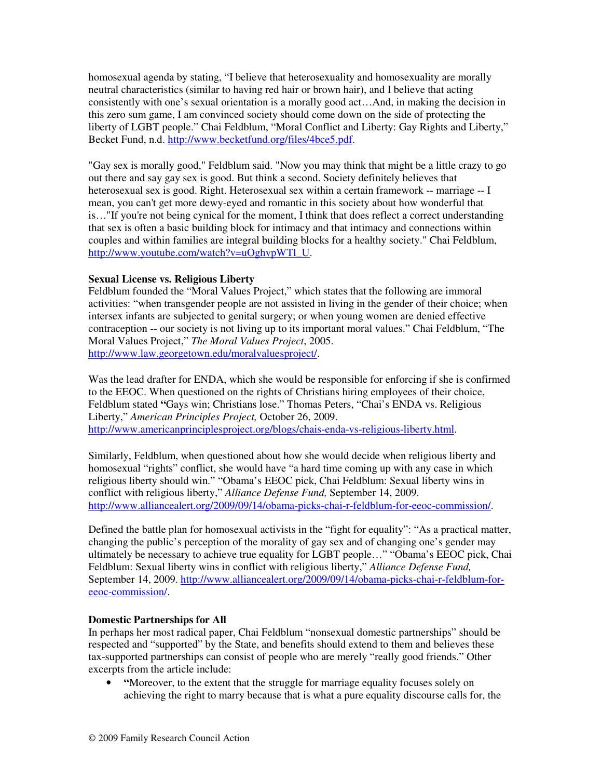homosexual agenda by stating, "I believe that heterosexuality and homosexuality are morally neutral characteristics (similar to having red hair or brown hair), and I believe that acting consistently with one's sexual orientation is a morally good act…And, in making the decision in this zero sum game, I am convinced society should come down on the side of protecting the liberty of LGBT people." Chai Feldblum, "Moral Conflict and Liberty: Gay Rights and Liberty," Becket Fund, n.d. http://www.becketfund.org/files/4bce5.pdf.

"Gay sex is morally good," Feldblum said. "Now you may think that might be a little crazy to go out there and say gay sex is good. But think a second. Society definitely believes that heterosexual sex is good. Right. Heterosexual sex within a certain framework -- marriage -- I mean, you can't get more dewy-eyed and romantic in this society about how wonderful that is…"If you're not being cynical for the moment, I think that does reflect a correct understanding that sex is often a basic building block for intimacy and that intimacy and connections within couples and within families are integral building blocks for a healthy society." Chai Feldblum, http://www.youtube.com/watch?v=uOghvpWTl\_U.

## **Sexual License vs. Religious Liberty**

Feldblum founded the "Moral Values Project," which states that the following are immoral activities: "when transgender people are not assisted in living in the gender of their choice; when intersex infants are subjected to genital surgery; or when young women are denied effective contraception -- our society is not living up to its important moral values." Chai Feldblum, "The Moral Values Project," *The Moral Values Project*, 2005. http://www.law.georgetown.edu/moralvaluesproject/.

Was the lead drafter for ENDA, which she would be responsible for enforcing if she is confirmed to the EEOC. When questioned on the rights of Christians hiring employees of their choice, Feldblum stated **"**Gays win; Christians lose." Thomas Peters, "Chai's ENDA vs. Religious Liberty," *American Principles Project,* October 26, 2009. http://www.americanprinciplesproject.org/blogs/chais-enda-vs-religious-liberty.html.

Similarly, Feldblum, when questioned about how she would decide when religious liberty and homosexual "rights" conflict, she would have "a hard time coming up with any case in which religious liberty should win." "Obama's EEOC pick, Chai Feldblum: Sexual liberty wins in conflict with religious liberty," *Alliance Defense Fund,* September 14, 2009. http://www.alliancealert.org/2009/09/14/obama-picks-chai-r-feldblum-for-eeoc-commission/.

Defined the battle plan for homosexual activists in the "fight for equality": "As a practical matter, changing the public's perception of the morality of gay sex and of changing one's gender may ultimately be necessary to achieve true equality for LGBT people…" "Obama's EEOC pick, Chai Feldblum: Sexual liberty wins in conflict with religious liberty," *Alliance Defense Fund,*  September 14, 2009. http://www.alliancealert.org/2009/09/14/obama-picks-chai-r-feldblum-foreeoc-commission/.

# **Domestic Partnerships for All**

In perhaps her most radical paper, Chai Feldblum "nonsexual domestic partnerships" should be respected and "supported" by the State, and benefits should extend to them and believes these tax-supported partnerships can consist of people who are merely "really good friends." Other excerpts from the article include:

• **"**Moreover, to the extent that the struggle for marriage equality focuses solely on achieving the right to marry because that is what a pure equality discourse calls for, the